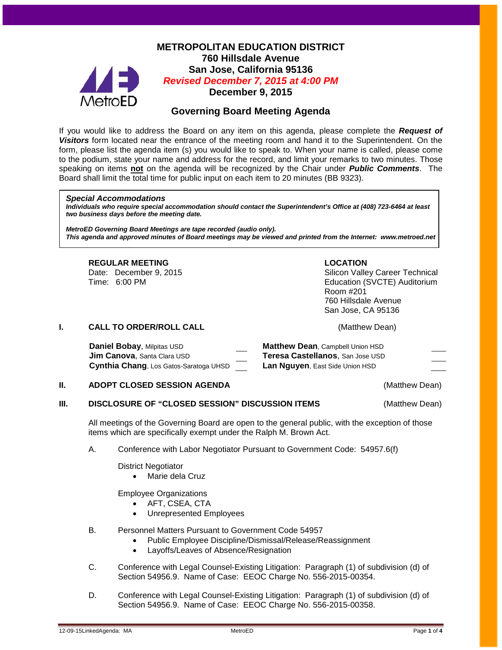

## **METROPOLITAN EDUCATION DISTRICT 760 Hillsdale Avenue San Jose, California 95136** *Revised December 7, 2015 at 4:00 PM* **December 9, 2015**

# **Governing Board Meeting Agenda**

If you would like to address the Board on any item on this agenda, please complete the *Request of Visitors* form located near the entrance of the meeting room and hand it to the Superintendent. On the form, please list the agenda item (s) you would like to speak to. When your name is called, please come to the podium, state your name and address for the record, and limit your remarks to two minutes. Those speaking on items **not** on the agenda will be recognized by the Chair under *Public Comments*. The Board shall limit the total time for public input on each item to 20 minutes (BB 9323).

#### *Special Accommodations*

*Individuals who require special accommodation should contact the Superintendent's Office at (408) 723-6464 at least two business days before the meeting date.*

*MetroED Governing Board Meetings are tape recorded (audio only). This agenda and approved minutes of Board meetings may be viewed and printed from the Internet: www.metroed.net*

#### **REGULAR MEETING LOCATION**

Date: December 9, 2015 **Silicon Valley Career Technical** Time: 6:00 PM Education (SVCTE) Auditorium Room #201 760 Hillsdale Avenue San Jose, CA 95136

**I. CALL TO ORDER/ROLL CALL CALL CALL CALL CALL CALL CALL CALL CALL** 

| Daniel Bobay, Milpitas USD             | <b>Matthew Dean, Campbell Union HSD</b> |
|----------------------------------------|-----------------------------------------|
| <b>Jim Canova, Santa Clara USD</b>     | Teresa Castellanos, San Jose USD        |
| Cynthia Chang, Los Gatos-Saratoga UHSD | Lan Nguyen, East Side Union HSD         |

#### **II. ADOPT CLOSED SESSION AGENDA CONSTRUCTER (Matthew Dean)**

#### **III. DISCLOSURE OF "CLOSED SESSION" DISCUSSION ITEMS** (Matthew Dean)

All meetings of the Governing Board are open to the general public, with the exception of those items which are specifically exempt under the Ralph M. Brown Act.

#### A. Conference with Labor Negotiator Pursuant to Government Code: 54957.6(f)

District Negotiator

• Marie dela Cruz

Employee Organizations

- AFT, CSEA, CTA
- Unrepresented Employees
- B. Personnel Matters Pursuant to Government Code 54957
	- Public Employee Discipline/Dismissal/Release/Reassignment
	- Layoffs/Leaves of Absence/Resignation
- C. Conference with Legal Counsel-Existing Litigation: Paragraph (1) of subdivision (d) of Section 54956.9. Name of Case: EEOC Charge No. 556-2015-00354.
- D. Conference with Legal Counsel-Existing Litigation: Paragraph (1) of subdivision (d) of Section 54956.9. Name of Case: EEOC Charge No. 556-2015-00358.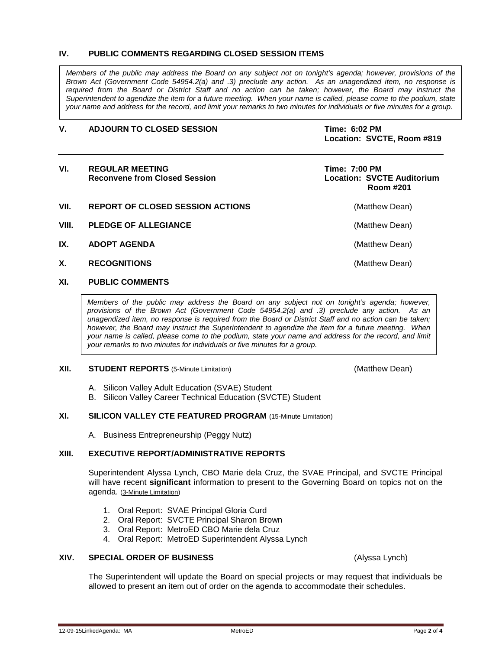#### **IV. PUBLIC COMMENTS REGARDING CLOSED SESSION ITEMS**

*Members of the public may address the Board on any subject not on tonight's agenda; however, provisions of the Brown Act (Government Code 54954.2(a) and .3) preclude any action. As an unagendized item, no response is required from the Board or District Staff and no action can be taken; however, the Board may instruct the Superintendent to agendize the item for a future meeting. When your name is called, please come to the podium, state your name and address for the record, and limit your remarks to two minutes for individuals or five minutes for a group.*

#### **V. ADJOURN TO CLOSED SESSION Time: 6:02 PM**

**Location: SVCTE, Room #819**

| VI.   | <b>REGULAR MEETING</b><br><b>Reconvene from Closed Session</b> | <b>Time: 7:00 PM</b><br><b>Location: SVCTE Auditorium</b><br>Room #201 |
|-------|----------------------------------------------------------------|------------------------------------------------------------------------|
| VII.  | <b>REPORT OF CLOSED SESSION ACTIONS</b>                        | (Matthew Dean)                                                         |
| VIII. | <b>PLEDGE OF ALLEGIANCE</b>                                    | (Matthew Dean)                                                         |
| IX.   | <b>ADOPT AGENDA</b>                                            | (Matthew Dean)                                                         |
| Х.    | <b>RECOGNITIONS</b>                                            | (Matthew Dean)                                                         |

### **XI. PUBLIC COMMENTS**

*Members of the public may address the Board on any subject not on tonight's agenda; however, provisions of the Brown Act (Government Code 54954.2(a) and .3) preclude any action. As an unagendized item, no response is required from the Board or District Staff and no action can be taken; however, the Board may instruct the Superintendent to agendize the item for a future meeting. When your name is called, please come to the podium, state your name and address for the record, and limit your remarks to two minutes for individuals or five minutes for a group.*

#### **XII. STUDENT REPORTS** (5-Minute Limitation) **1992 12: 12: 13: 13: 13: 13: 13: 13: 13: 13: (Matthew Dean)**

- A. Silicon Valley Adult Education (SVAE) Student
- B. Silicon Valley Career Technical Education (SVCTE) Student

#### **XI. SILICON VALLEY CTE FEATURED PROGRAM** (15-Minute Limitation)

A. Business Entrepreneurship (Peggy Nutz)

#### **XIII. EXECUTIVE REPORT/ADMINISTRATIVE REPORTS**

Superintendent Alyssa Lynch, CBO Marie dela Cruz, the SVAE Principal, and SVCTE Principal will have recent **significant** information to present to the Governing Board on topics not on the agenda. (3-Minute Limitation)

- 1. Oral Report: SVAE Principal Gloria Curd
- 2. Oral Report: SVCTE Principal Sharon Brown
- 3. Oral Report: MetroED CBO Marie dela Cruz
- 4. Oral Report: MetroED Superintendent Alyssa Lynch

#### **XIV. SPECIAL ORDER OF BUSINESS** (Alyssa Lynch)

The Superintendent will update the Board on special projects or may request that individuals be allowed to present an item out of order on the agenda to accommodate their schedules.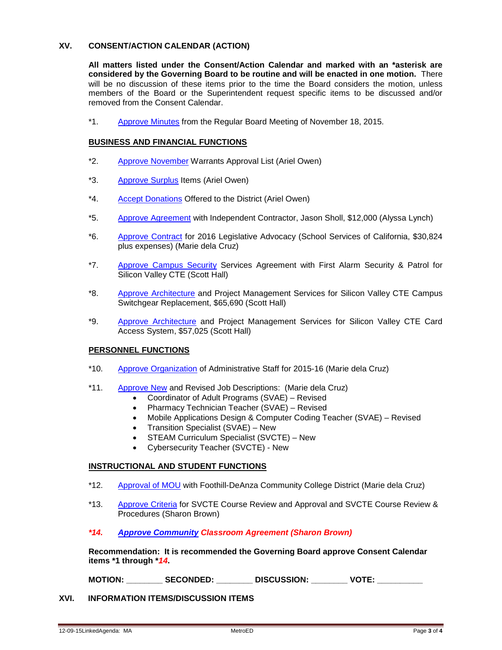### **XV. CONSENT/ACTION CALENDAR (ACTION)**

**All matters listed under the Consent/Action Calendar and marked with an \*asterisk are considered by the Governing Board to be routine and will be enacted in one motion.** There will be no discussion of these items prior to the time the Board considers the motion, unless members of the Board or the Superintendent request specific items to be discussed and/or removed from the Consent Calendar.

\*1. [Approve Minutes](http://fbsd.metroed.net/malaimo/Board_Agenda/12-09-15BoardAgenda/11-18-15BoardMinutes.pdf) from the Regular Board Meeting of November 18, 2015.

#### **BUSINESS AND FINANCIAL FUNCTIONS**

- \*2. [Approve November](http://fbsd.metroed.net/malaimo/Board_Agenda/12-09-15BoardAgenda/Item2.pdf) Warrants Approval List (Ariel Owen)
- \*3. [Approve Surplus](http://fbsd.metroed.net/malaimo/Board_Agenda/12-09-15BoardAgenda/Item3.pdf) Items (Ariel Owen)
- \*4. [Accept Donations](http://fbsd.metroed.net/malaimo/Board_Agenda/12-09-15BoardAgenda/Item4.pdf) Offered to the District (Ariel Owen)
- \*5. [Approve Agreement](http://fbsd.metroed.net/malaimo/Board_Agenda/12-09-15BoardAgenda/Item5.pdf) with Independent Contractor, Jason Sholl, \$12,000 (Alyssa Lynch)
- \*6. [Approve Contract](http://fbsd.metroed.net/malaimo/Board_Agenda/12-09-15BoardAgenda/Item6.pdf) for 2016 Legislative Advocacy (School Services of California, \$30,824 plus expenses) (Marie dela Cruz)
- \*7. [Approve Campus Security](http://fbsd.metroed.net/malaimo/Board_Agenda/12-09-15BoardAgenda/Item7.pdf) Services Agreement with First Alarm Security & Patrol for Silicon Valley CTE (Scott Hall)
- \*8. [Approve Architecture](http://fbsd.metroed.net/malaimo/Board_Agenda/12-09-15BoardAgenda/Item8.pdf) and Project Management Services for Silicon Valley CTE Campus Switchgear Replacement, \$65,690 (Scott Hall)
- \*9. [Approve Architecture](http://fbsd.metroed.net/malaimo/Board_Agenda/12-09-15BoardAgenda/Item9.pdf) and Project Management Services for Silicon Valley CTE Card Access System, \$57,025 (Scott Hall)

#### **PERSONNEL FUNCTIONS**

- \*10. [Approve Organization](http://fbsd.metroed.net/malaimo/Board_Agenda/12-09-15BoardAgenda/Item10.pdf) of Administrative Staff for 2015-16 (Marie dela Cruz)
- \*11. [Approve New](http://fbsd.metroed.net/malaimo/Board_Agenda/12-09-15BoardAgenda/Item11.pdf) and Revised Job Descriptions: (Marie dela Cruz)
	- Coordinator of Adult Programs (SVAE) Revised
	- Pharmacy Technician Teacher (SVAE) Revised
	- Mobile Applications Design & Computer Coding Teacher (SVAE) Revised
	- Transition Specialist (SVAE) New
	- STEAM Curriculum Specialist (SVCTE) New
	- Cybersecurity Teacher (SVCTE) New

#### **INSTRUCTIONAL AND STUDENT FUNCTIONS**

- \*12. [Approval of MOU](http://fbsd.metroed.net/malaimo/Board_Agenda/12-09-15BoardAgenda/Item12.pdf) with Foothill-DeAnza Community College District (Marie dela Cruz)
- \*13. [Approve Criteria](http://fbsd.metroed.net/malaimo/Board_Agenda/12-09-15BoardAgenda/Item13.pdf) for SVCTE Course Review and Approval and SVCTE Course Review & Procedures (Sharon Brown)

### *\*14. [Approve Community](http://fbsd.metroed.net/malaimo/Board_Agenda/12-09-15BoardAgenda/Item14new.pdf) Classroom Agreement (Sharon Brown)*

**Recommendation: It is recommended the Governing Board approve Consent Calendar items \*1 through \****14***.**

**MOTION: \_\_\_\_\_\_\_\_ SECONDED: \_\_\_\_\_\_\_\_ DISCUSSION: \_\_\_\_\_\_\_\_ VOTE: \_\_\_\_\_\_\_\_\_\_**

#### **XVI. INFORMATION ITEMS/DISCUSSION ITEMS**